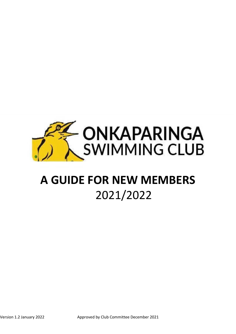

# **A GUIDE FOR NEW MEMBERS** 2021/2022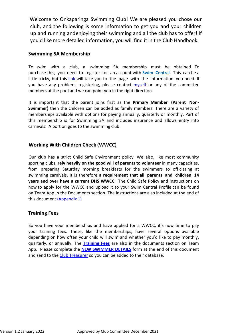Welcome to Onkaparinga Swimming Club! We are pleased you chose our club, and the following is some information to get you and your children up and running andenjoying their swimming and all the club has to offer! If you'd like more detailed information, you will find it in the Club Handbook.

## **Swimming SA Membership**

To swim with a club, a swimming SA membership must be obtained. To purchase this, you need to register for an account with **Swim [Centra](https://authcrm2.swimming.org.au/Account/Login?ReturnUrl=%2FGrant%2FAuthorize%3Fresponse_type%3Dtoken%26client_id%3D7ca6f8e91eb447dca707ec9d514663f6%26state%3DoS9YeQVBaDJF3moHUVUXogRXVRMRCbBCz9KFWrSW%26redirect_uri%3Dhttps%253A%252F%252Fswimcentral.swimming.org.au%252Flanding%26scope%3Dprofile)**l. This can be a little tricky, but this [link](https://support.swimming.org.au/hc/en-us/categories/360000177035-Getting-started) will take you to the page with the information you need. If you have any problems registering, please contact *[myself](mailto:president@onkaswimclub.com.au)* or any of the committee members at the pool and we can point you in the right direction.

It is important that the parent joins first as the **Primary Member (Parent Non-Swimmer)** then the children can be added as family members. There are a variety of memberships available with options for paying annually, quarterly or monthly. Part of this membership is for Swimming SA and includes insurance and allows entry into carnivals. A portion goes to the swimming club.

# **Working With Children Check (WWCC)**

Our club has a strict Child Safe Environment policy. We also, like most community sporting clubs, **rely heavily on the good will of parents to volunteer** in many capacities, from preparing Saturday morning breakfasts for the swimmers to officiating at swimming carnivals. It is therefore **a requirement that all parents and children 14 years and over have a current DHS WWCC**. The Child Safe Policy and instructions on how to apply for the WWCC and upload it to your Swim Central Profile can be found on Team App in the Documents section. The instructions are also included at the end of this document [\(Appendix](#page-9-0) 1)

# **Training Fees**

So you have your memberships and have applied for a WWCC, it's now time to pay your training fees. These, like the memberships, have several options available depending on how often your child will swim and whether you'd like to pay monthly, quarterly, or annually. The **[Training Fees](#page-11-0)** are also in the documents section on Team App. Please complete the **NEW [SWIMMER DETAILS](#page-12-0)** form at the end of this document and send to th[e Club Treasurer](mailto:TREASURER@ONKASWIMCLUB.COM.AU) so you can be added to their database.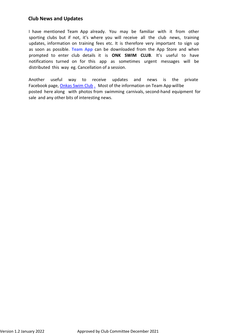# **Club News and Updates**

I have mentioned Team App already. You may be familiar with it from other sporting clubs but if not, it's where you will receive all the club news, training updates, information on training fees etc. It is therefore very important to sign up as soon as possible. **[Team App](https://www.teamapp.com/?_detail=v1)** can be downloaded from the App Store and when prompted to enter club details it is **ONK SWIM CLUB**. It's useful to have notifications turned on for this app as sometimes urgent messages will be distributed this way eg. Cancellation of a session.

Another useful way to receive updates and news is the private Facebook page, [Onkas Swim Club](https://www.facebook.com/groups/269578409765049). Most of the information on Team App will be posted here along with photos from swimming carnivals, second-hand equipment for sale and any other bits of interesting news.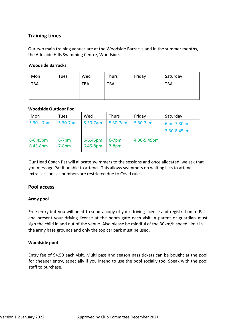# **Training times**

Our two main training venues are at the Woodside Barracks and in the summer months, the Adelaide Hills Swimming Centre, Woodside.

#### **Woodside Barracks**

| Mon        | Tues | Wed        | <b>Thurs</b> | Friday | Saturday   |
|------------|------|------------|--------------|--------|------------|
| <b>TBA</b> |      | <b>TBA</b> | <b>TBA</b>   |        | <b>TBA</b> |

#### **Woodside Outdoor Pool**

| Mon                       | Tues                | Wed                       | <b>Thurs</b>      | Friday      | Saturday    |
|---------------------------|---------------------|---------------------------|-------------------|-------------|-------------|
| $5.30 - 7am$              | 5.30-7am            | 5.30-7am                  | 5.30-7am          | 5.30-7am    | 6am-7.30am  |
|                           |                     |                           |                   |             | 7.30-8.45am |
| $6 - 6.45$ pm<br>6.45-8pm | $6-7$ pm<br>$7-8pm$ | $6 - 6.45$ pm<br>6.45-8pm | $6-7$ pm<br>7-8pm | 4.30-5.45pm |             |

Our Head Coach Pat will allocate swimmers to the sessions and once allocated, we ask that you message Pat if unable to attend. This allows swimmers on waiting lists to attend extra sessions as numbers are restricted due to Covid rules.

# **Pool access**

#### **Army pool**

**F**ree entry but you will need to send a copy of your driving license and registration to Pat and present your driving license at the boom gate each visit. A parent or guardian must sign the child in and out of the venue. Also please be mindful of the 30km/h speed limit in the army base grounds and only the top car park must be used.

#### **Woodside pool**

Entry fee of \$4.50 each visit. Multi pass and season pass tickets can be bought at the pool for cheaper entry, especially if you intend to use the pool socially too. Speak with the pool staff to purchase.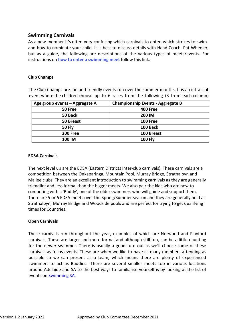# **Swimming Carnivals**

As a new member it's often very confusing which carnivals to enter, which strokes to swim and how to nominate your child. It is best to discuss details with Head Coach, Pat Wheeler, but as a guide, the following are descriptions of the various types of meets/events. For instructions on **how to enter [a swimming](https://support.swimming.org.au/hc/en-us/articles/360002105435-How-to-Enter-a-Meet) meet** follow this link.

#### **Club Champs**

The Club Champs are fun and friendly events run over the summer months. It is an intra club event where the children choose up to 6 races from the following (3 from each column)

| Age group events - Aggregate A | <b>Championship Events - Aggregate B</b> |
|--------------------------------|------------------------------------------|
| 50 Free                        | <b>400 Free</b>                          |
| 50 Back                        | 200 IM                                   |
| 50 Breast                      | <b>100 Free</b>                          |
| <b>50 Fly</b>                  | 100 Back                                 |
| <b>200 Free</b>                | 100 Breast                               |
| 100 IM                         | <b>100 Fly</b>                           |

#### **EDSA Carnivals**

The next level up are the EDSA (Eastern Districts Inter-club carnivals). These carnivals are a competition between the Onkaparinga, Mountain Pool, Murray Bridge, Strathalbyn and Mallee clubs. They are an excellent introduction to swimming carnivals as they are generally friendlier and less formal than the bigger meets. We also pair the kids who are new to competing with a 'Buddy', one of the older swimmers who will guide and support them. There are 5 or 6 EDSA meets over the Spring/Summer season and they are generally held at Strathalbyn, Murray Bridge and Woodside pools and are perfect for trying to get qualifying times for Countries.

#### **Open Carnivals**

These carnivals run throughout the year, examples of which are Norwood and Playford carnivals. These are larger and more formal and although still fun, can be a little [daunting](https://sa.swimming.org.au/events) [for the](https://sa.swimming.org.au/events) newer swimmer. There is usually a good turn out as we'll choose some of these carnivals as focus events. These are when we like to have as many members attending as possible so we can present as a team, which means there are plenty of experienced swimmers to act as Buddies. There are several smaller meets too in various locations around Adelaide and SA so the best ways to familiarise yourself is by looking at the list of events on [Swimming SA.](https://sa.swimming.org.au/events)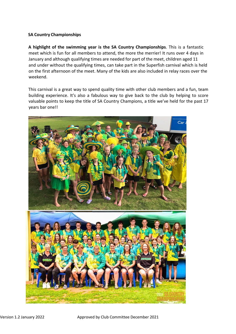### **SA Country Championships**

**A highlight of the swimming year is the SA Country Championships**. This is a fantastic meet which is fun for all members to attend, the more the merrier! It runs over 4 days in January and although qualifying times are needed for part of the meet, children aged 11 and under without the qualifying times, can take part in the Superfish carnival which is held on the first afternoon of the meet. Many of the kids are also included in relay races over the weekend.

This carnival is a great way to spend quality time with other club members and a fun, team building experience. It's also a fabulous way to give back to the club by helping to score valuable points to keep the title of SA Country Champions, a title we've held for the past 17 years bar one!!

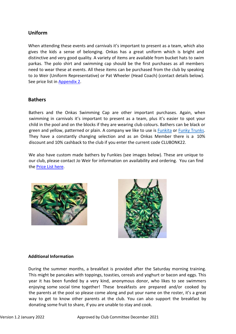# **Uniform**

When attending these events and carnivals it's important to present as a team, which also gives the kids a sense of belonging. Onkas has a great uniform which is bright and distinctive and very good quality. A variety of items are available from bucket hats to swim parkas. The polo shirt and swimming cap should be the first purchases as all members need to wear these at events. All these items can be purchased from the club by speaking to Jo Weir (Uniform Representative) or Pat Wheeler (Head Coach) (contact details below). See price list i[n Appendix 2.](#page-9-1)

# **Bathers**

Bathers and the Onkas Swimming Cap are other important purchases. Again, when swimming in carnivals it's important to present as a team, plus it's easier to spot your child in the pool and on the blocks if they are wearing club colours. Bathers can be black or green and yellow, patterned or plain. A company we [like to u](https://www.funkita.com/)se [is Funkita](https://www.funkytrunks.com/) or Funky Trunks. They have a constantly changing selection and as an Onkas Member there is a 10% discount and 10% cashback to the club if you enter the current code CLUBONK22.

We also have custom made bathers by Funkies (see images below). These are unique to our club, please contact Jo Weir for information on availability and ordering. You can find th[e Price List here.](#page-9-1)





#### **Additional Information**

During the summer months, a breakfast is provided after the Saturday morning training. This might be pancakes with toppings, toasties, cereals and yoghurt or bacon and eggs. This year it has been funded by a very kind, anonymous donor, who likes to see swimmers enjoying some social time together! These breakfasts are prepared and/or cooked by the parents at the pool so please come along and put your name on the roster, it's a great way to get to know other parents at the club. You can also support the breakfast by donating some fruit to share, if you are unable to stay and cook.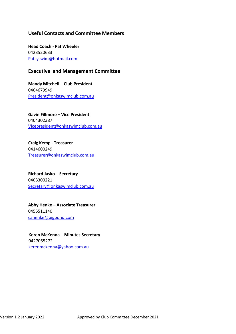# **Useful Contacts and Committee Members**

**Head Coach - Pat Wheeler** 0423520633 [Patsyswim@hotmail.com](mailto:Patsyswim@hotmail.com)

# **Executive and Management Committee**

**Mandy Mitchell – Club President** 0404679949 [President@onkaswimclub.com.au](mailto:President@onkaswimclub.com.au)

**Gavin Fillmore – Vice President** 0404302387 [Vicepresident@onkaswimclub.com.au](mailto:Vicepresident@onkaswimclub.com.au)

**Craig Kemp - Treasurer** 0414600249 [Tr](mailto:Treasurer@onkaswimclub.com.au)[easurer@onkaswimclub.com.au](mailto:easurer@onkaswimclub.com.au)

**Richard Jasko – Secretary** 0403300221 [Secretary@onkaswimclub.com.au](mailto:Secretary@onkaswimclub.com.au)

**Abby Henke – Associate Treasurer** 0455511140 [cahenke@bigpond.com](mailto:cahenke@bigpond.com)

**Keren McKenna – Minutes Secretary** 0427055272 [kerenmckenna@yahoo.com.au](mailto:kerenmckenna@yahoo.com.au)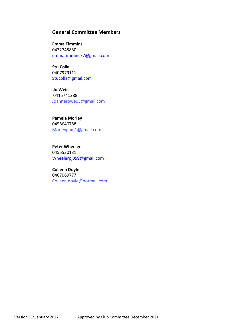## **General Committee Members**

**Emma Timmins** 0432745830 [emmatimmins77@gmail.com](mailto:emmatimmins77@gmail.com)

**Stu Colla** 0407979111 [Stucolla@gmail.com](mailto:Stucolla@gmail.com)

**Jo Weir** 0415741288 [Joannerowe03@gmail.com](mailto:Joannerowe03@gmail.com)

**Pamela Morley** 0458640788 [Morleypam1@gmail.com](mailto:Morleypam1@gmail.com)

**Peter Wheeler** 0455530131 [Wheelerpj059@gmail.com](mailto:Wheelerpj059@gmail.com)

**Colleen Doyle** 0407069777 [Colleen.doyle@hotmail.com](mailto:Colleen.doyle@hotmail.com)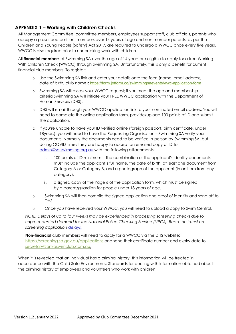# <span id="page-9-0"></span>**APPENDIX 1 – Working with Children Checks**

All Management Committee, committee members, employees support staff, club officials, parents who occupy a prescribed position, members over 14 years of age and non-member parents, as per the Children and Young People (Safety) Act 2017, are required to undergo a WWCC once every five years. WWCC is also required prior to undertaking work with children.

All **financial members** of Swimming SA over the age of 14 years are eligible to apply for a free Working With Children Check (WWCC) through Swimming SA. Unfortunately, this is only a benefit for current financial club members. To register:

- o Use the Swimming SA link and enter your details onto the form (name, email address, date of birth, club name): <https://form.jotform.co/swimmingsaevents/wwc-application-form>
- o Swimming SA will assess your WWCC request; if you meet the age and membership criteria Swimming SA will initiate your FREE WWCC application with the Department of Human Services (DHS).
- o DHS will email through your WWCC application link to your nominated email address. You will need to complete the online application form, provide/upload 100 points of ID and submit the application.
- o If you're unable to have your ID verified online (foreign passport, birth certificate, under 18years), you will need to have the Requesting Organisation – Swimming SA verify your documents. Normally the documents need to be verified in-person by Swimming SA, but during COVID times they are happy to accept an emailed copy of ID to [admin@sa.swimming.org.au w](mailto:admin@sa.swimming.org.auro)ith the following attachments:
	- i. 100 points of ID minimum The combination of the applicant's identity documents must include the applicant's full name, the date of birth, at least one document from Category A or Category B, and a photograph of the applicant (in an item from any category).
	- ii. a signed copy of the Page 6 of the application form, which must be signed by a parent/guardian for people under 18 years of age.
- o Swimming SA will then compile the signed application and proof of identity and send off to DHS.
- o Once you have received your WWCC, you will need to upload a copy to Swim Central.

*NOTE: Delays of up to four weeks may be experienced in processing screening checks due to unprecedented demand for the National Police Checking Service (NPCS). Read the latest on screening application [delays.](https://screening.sa.gov.au/applications/screening-applications-delays)*

**Non-financial** club members will need to apply for a WWCC via the DHS website: <https://screening.sa.gov.au/applications> and send their certificate number and expiry date to [secretary@onkaswimclub.com.au.](mailto:secretary@onkaswimclub.com.au)

<span id="page-9-1"></span>When it is revealed that an individual has a criminal history, this information will be treated in accordance with the Child Safe Environments: Standards for dealing with information obtained about the criminal history of employees and volunteers who work with children.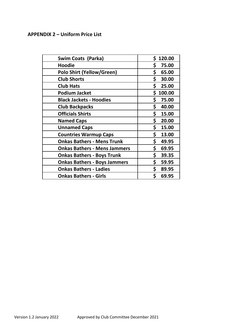# **APPENDIX 2 – Uniform Price List**

| Swim Coats (Parka)                  | \$.<br>120.00 |
|-------------------------------------|---------------|
| <b>Hoodie</b>                       | \$.<br>75.00  |
| <b>Polo Shirt (Yellow/Green)</b>    | \$<br>65.00   |
| <b>Club Shorts</b>                  | \$<br>30.00   |
| <b>Club Hats</b>                    | \$<br>25.00   |
| <b>Podium Jacket</b>                | Ś.<br>100.00  |
| <b>Black Jackets - Hoodies</b>      | \$<br>75.00   |
| <b>Club Backpacks</b>               | \$<br>40.00   |
| <b>Officials Shirts</b>             | \$<br>15.00   |
| <b>Named Caps</b>                   | \$<br>20.00   |
| <b>Unnamed Caps</b>                 | \$<br>15.00   |
| <b>Countries Warmup Caps</b>        | \$<br>13.00   |
| <b>Onkas Bathers - Mens Trunk</b>   | \$<br>49.95   |
| <b>Onkas Bathers - Mens Jammers</b> | \$<br>69.95   |
| <b>Onkas Bathers - Boys Trunk</b>   | \$<br>39.35   |
| <b>Onkas Bathers - Boys Jammers</b> | \$<br>59.95   |
| <b>Onkas Bathers - Ladies</b>       | \$<br>89.95   |
| <b>Onkas Bathers - Girls</b>        | \$<br>69.95   |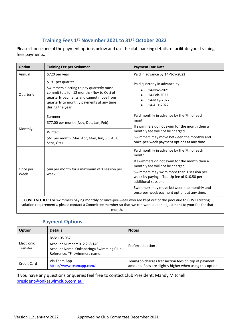# **Training Fees 1st November 2021 to 31st October 2022**

<span id="page-11-0"></span>Please choose one of the payment options below and use the club banking details to facilitate your training fees payments.

| <b>Option</b>    | <b>Training Fee per Swimmer</b>                                                                                                                                                                                                             | <b>Payment Due Date</b>                                                                                                                                                                                                             |
|------------------|---------------------------------------------------------------------------------------------------------------------------------------------------------------------------------------------------------------------------------------------|-------------------------------------------------------------------------------------------------------------------------------------------------------------------------------------------------------------------------------------|
| Annual           | \$720 per year                                                                                                                                                                                                                              | Paid in advance by 14-Nov-2021                                                                                                                                                                                                      |
| Quarterly        | \$191 per quarter<br>Swimmers electing to pay quarterly must<br>commit to a full 12 months (Nov to Oct) of<br>quarterly payments and cannot move from<br>quarterly to monthly payments at any time<br>during the year.                      | Paid quarterly in advance by:<br>14-Nov-2021<br>14-Feb-2022<br>14-May-2022<br>14-Aug-2022                                                                                                                                           |
| Monthly          | Summer:<br>\$77.00 per month (Nov, Dec, Jan, Feb)                                                                                                                                                                                           | Paid monthly in advance by the 7th of each<br>month.<br>If swimmers do not swim for the month then a<br>monthly fee will not be charged.<br>Swimmers may move between the monthly and<br>once-per-week payment options at any time. |
|                  | Winter:<br>\$61 per month (Mar, Apr, May, Jun, Jul, Aug,<br>Sept, Oct)                                                                                                                                                                      |                                                                                                                                                                                                                                     |
| Once per<br>Week | \$44 per month for a maximum of 1 session per<br>week                                                                                                                                                                                       | Paid monthly in advance by the 7th of each<br>month.<br>If swimmers do not swim for the month then a<br>monthly fee will not be charged.<br>Swimmers may swim more than 1 session per                                               |
|                  |                                                                                                                                                                                                                                             | week by paying a Top Up fee of \$10.50 per<br>additional session.<br>Swimmers may move between the monthly and<br>once-per-week payment options at any time.                                                                        |
|                  | <b>COVID NOTICE:</b> For swimmers paying monthly or once-per-week who are kept out of the pool due to COVID testing<br>isolation requirements, please contact a Committee member so that we can work out an adjustment to your fee for that |                                                                                                                                                                                                                                     |

month.

# **Payment Options**

| <b>Option</b>          | <b>Details</b>                                                                                                          | <b>Notes</b>                                                                                                   |
|------------------------|-------------------------------------------------------------------------------------------------------------------------|----------------------------------------------------------------------------------------------------------------|
| Electronic<br>Transfer | BSB: 105 057<br>Account Number: 012 268 140<br>Account Name: Onkaparinga Swimming Club<br>Reference: TF [swimmers name] | Preferred option                                                                                               |
| Credit Card            | Via Team App<br>https://www.teamapp.com/                                                                                | TeamApp charges transaction fees on top of payment<br>amount. Fees are slightly higher when using this option. |

If you have any questions or queries feel free to contact Club President: Mandy Mitchell: [president@onkaswimclub.com.au.](mailto:president@onkaswimclub.com.au)